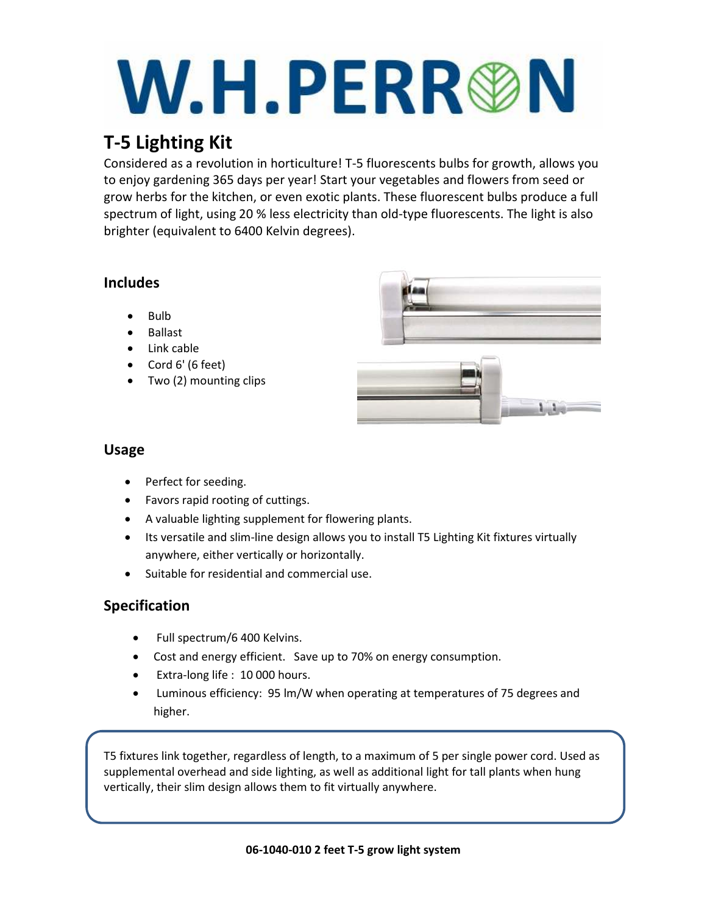# W.H.PERR®N

# **T-5 Lighting Kit**

Considered as a revolution in horticulture! T-5 fluorescents bulbs for growth, allows you to enjoy gardening 365 days per year! Start your vegetables and flowers from seed or grow herbs for the kitchen, or even exotic plants. These fluorescent bulbs produce a full spectrum of light, using 20 % less electricity than old-type fluorescents. The light is also brighter (equivalent to 6400 Kelvin degrees).

### **Includes**

- Bulb
- Ballast
- Link cable
- Cord 6' (6 feet)
- Two (2) mounting clips





#### **Usage**

- Perfect for seeding.
- Favors rapid rooting of cuttings.
- A valuable lighting supplement for flowering plants.
- Its versatile and slim-line design allows you to install T5 Lighting Kit fixtures virtually anywhere, either vertically or horizontally.
- Suitable for residential and commercial use.

## **Specification**

- Full spectrum/6 400 Kelvins.
- Cost and energy efficient. Save up to 70% on energy consumption.
- Extra-long life : 10 000 hours.
- Luminous efficiency: 95 lm/W when operating at temperatures of 75 degrees and higher.

T5 fixtures link together, regardless of length, to a maximum of 5 per single power cord. Used as supplemental overhead and side lighting, as well as additional light for tall plants when hung vertically, their slim design allows them to fit virtually anywhere.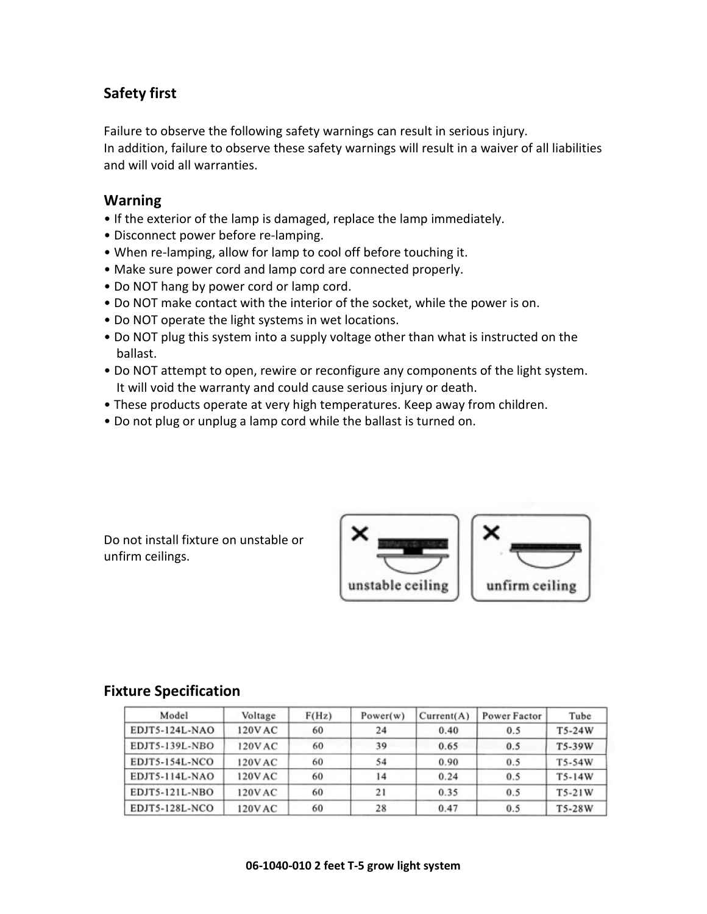#### **Safety first**

Failure to observe the following safety warnings can result in serious injury. In addition, failure to observe these safety warnings will result in a waiver of all liabilities and will void all warranties.

#### **Warning**

- If the exterior of the lamp is damaged, replace the lamp immediately.
- Disconnect power before re-lamping.
- When re-lamping, allow for lamp to cool off before touching it.
- Make sure power cord and lamp cord are connected properly.
- Do NOT hang by power cord or lamp cord.
- Do NOT make contact with the interior of the socket, while the power is on.
- Do NOT operate the light systems in wet locations.
- Do NOT plug this system into a supply voltage other than what is instructed on the ballast.
- Do NOT attempt to open, rewire or reconfigure any components of the light system. It will void the warranty and could cause serious injury or death.
- These products operate at very high temperatures. Keep away from children.
- Do not plug or unplug a lamp cord while the ballast is turned on.

Do not install fixture on unstable or unfirm ceilings.



#### **Fixture Specification**

| Model          | Voltage | F(Hz) | Power(w) | Current(A) | Power Factor | Tube     |
|----------------|---------|-------|----------|------------|--------------|----------|
| EDJT5-124L-NAO | 120V AC | 60    | 24       | 0.40       | 0.5          | T5-24W   |
| EDJT5-139L-NBO | 120V AC | 60    | 39       | 0.65       | 0.5          | T5-39W   |
| EDJT5-154L-NCO | 120V AC | 60    | 54       | 0.90       | 0.5          | T5-54W   |
| EDJT5-114L-NAO | 120V AC | 60    | 14       | 0.24       | 0.5          | $T5-14W$ |
| EDJT5-121L-NBO | 120V AC | 60    | 21       | 0.35       | 0.5          | T5-21W   |
| EDJT5-128L-NCO | 120VAC  | 60    | 28       | 0.47       | 0.5          | T5-28W   |